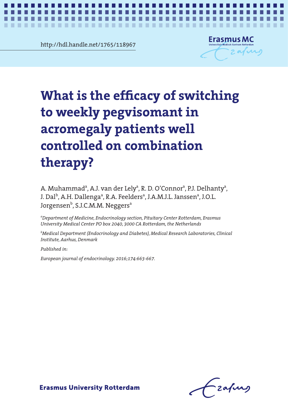**Chapter 2** http://hdl.handle.net/1765/118967



*What is the efficacy of switching to weekly pegvisomant in acromegaly patients?* **1**

# $\mathcal{L}$  is the effective effective  $\mathcal{L}$ of the enneary or switch. peggal pegan in access to the control of the control of the control of the control of the control of the control of the control of the control of the control of the control of the control of the control of the control of t patients well controlled on **controlled on combination**  combination therapy? **What is the efficacy of switching to weekly pegvisomant in acromegaly patients well therapy?**

A. Muhammad<sup>a</sup>, A.J. van der Lely<sup>a</sup>, R. D. O'Connor<sup>a</sup>, P.J. Delhanty<sup>a</sup>, J. Dal<sup>b</sup>, A.H. Dallengaª, R.A. Feeldersª, J.A.M.J.L. Janssenª, J.O.L. Jorgensen<sup>b</sup>, S.J.C.M.M. Neggers<sup>a</sup>

*a Department of Medicine, Endocrinology section, Pituitary Center Rotterdam, Erasmus University Medical Center PO box 2040, 3000 CA Rotterdam, the Netherlands*

*b Medical Department (Endocrinology and Diabetes), Medical Research Laboratories, Clinical Institute, Aarhus, Denmark*

*Published in:*

*European journal of endocrinology. 2016;174:663-667.*

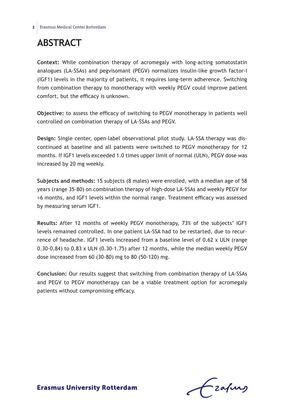# **Abstract**

**Context:** While combination therapy of acromegaly with long-acting somatostatin analogues (LA-SSAs) and pegvisomant (PEGV) normalizes insulin-like growth factor-I (IGF1) levels in the majority of patients, it requires long-term adherence. Switching from combination therapy to monotherapy with weekly PEGV could improve patient comfort, but the efficacy is unknown.

**Objective:** to assess the efficacy of switching to PEGV monotherapy in patients well controlled on combination therapy of LA-SSAs and PEGV.

**Design:** Single center, open-label observational pilot study. LA-SSA therapy was discontinued at baseline and all patients were switched to PEGV monotherapy for 12 months. If IGF1 levels exceeded 1.0 times upper limit of normal (ULN), PEGV dose was increased by 20 mg weekly.

**Subjects and methods:** 15 subjects (8 males) were enrolled, with a median age of 58 years (range 35-80) on combination therapy of high-dose LA-SSAs and weekly PEGV for >6 months, and IGF1 levels within the normal range. Treatment efficacy was assessed by measuring serum IGF1.

**Results:** After 12 months of weekly PEGV monotherapy, 73% of the subjects' IGF1 levels remained controlled. In one patient LA-SSA had to be restarted, due to recurrence of headache. IGF1 levels increased from a baseline level of 0.62 x ULN (range 0.30-0.84) to 0.83 x ULN (0.30-1.75) after 12 months, while the median weekly PEGV dose increased from 60 (30-80) mg to 80 (50-120) mg.

**Conclusion:** Our results suggest that switching from combination therapy of LA-SSAs and PEGV to PEGV monotherapy can be a viable treatment option for acromegaly patients without compromising efficacy.

frafing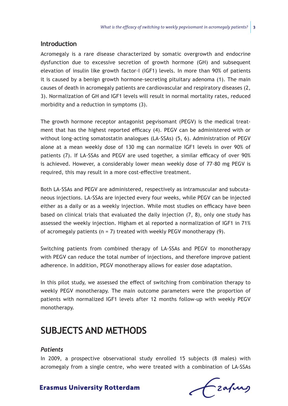### **Introduction**

Acromegaly is a rare disease characterized by somatic overgrowth and endocrine dysfunction due to excessive secretion of growth hormone (GH) and subsequent elevation of insulin like growth factor-I (IGF1) levels. In more than 90% of patients it is caused by a benign growth hormone-secreting pituitary adenoma (1). The main causes of death in acromegaly patients are cardiovascular and respiratory diseases (2, 3). Normalization of GH and IGF1 levels will result in normal mortality rates, reduced morbidity and a reduction in symptoms (3).

The growth hormone receptor antagonist pegvisomant (PEGV) is the medical treatment that has the highest reported efficacy (4). PEGV can be administered with or without long-acting somatostatin analogues (LA-SSAs) (5, 6). Administration of PEGV alone at a mean weekly dose of 130 mg can normalize IGF1 levels in over 90% of patients (7). If LA-SSAs and PEGV are used together, a similar efficacy of over 90% is achieved. However, a considerably lower mean weekly dose of 77-80 mg PEGV is required, this may result in a more cost-effective treatment.

Both LA-SSAs and PEGV are administered, respectively as intramuscular and subcutaneous injections. LA-SSAs are injected every four weeks, while PEGV can be injected either as a daily or as a weekly injection. While most studies on efficacy have been based on clinical trials that evaluated the daily injection (7, 8), only one study has assessed the weekly injection. Higham et al reported a normalization of IGF1 in 71% of acromegaly patients ( $n = 7$ ) treated with weekly PEGV monotherapy (9).

Switching patients from combined therapy of LA-SSAs and PEGV to monotherapy with PEGV can reduce the total number of injections, and therefore improve patient adherence. In addition, PEGV monotherapy allows for easier dose adaptation.

In this pilot study, we assessed the effect of switching from combination therapy to weekly PEGV monotherapy. The main outcome parameters were the proportion of patients with normalized IGF1 levels after 12 months follow-up with weekly PEGV monotherapy.

# **Subjects and Methods**

### *Patients*

In 2009, a prospective observational study enrolled 15 subjects (8 males) with acromegaly from a single centre, who were treated with a combination of LA-SSAs

Czapurs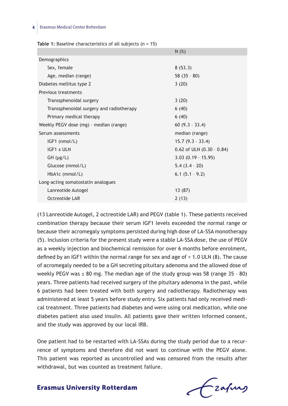|  | Table 1: Baseline characteristics of all subjects $(n = 15)$ |  |  |  |  |
|--|--------------------------------------------------------------|--|--|--|--|
|--|--------------------------------------------------------------|--|--|--|--|

|                                          | N(%)                          |  |  |  |
|------------------------------------------|-------------------------------|--|--|--|
| Demographics                             |                               |  |  |  |
| Sex, female                              | 8(53.3)                       |  |  |  |
| Age, median (range)                      | $58(35 - 80)$                 |  |  |  |
| Diabetes mellitus type 2                 | 3(20)                         |  |  |  |
| Previous treatments                      |                               |  |  |  |
| Transsphenoidal surgery                  | 3(20)                         |  |  |  |
| Transsphenoidal surgery and radiotherapy | 6(40)                         |  |  |  |
| Primary medical therapy                  | 6(40)                         |  |  |  |
| Weekly PEGV dose (mg) - median (range)   | $60(9.3 - 33.4)$              |  |  |  |
| Serum assessments                        | median (range)                |  |  |  |
| IGF1 (nmol/L)                            | $15.7(9.3 - 33.4)$            |  |  |  |
| IGF1 x ULN                               | $0.62$ of ULN $(0.30 - 0.84)$ |  |  |  |
| $GH$ ( $\mu$ g/L)                        | $3.03$ (0.19 - 15.95)         |  |  |  |
| Glucose (mmol/L)                         | $5.4(3.4 - 20)$               |  |  |  |
| HbA1c (mmol/L)                           | $6.1(5.1 - 9.2)$              |  |  |  |
| Long-acting somatostatin analogues       |                               |  |  |  |
| Lanreotide Autogel                       | 13 (87)                       |  |  |  |
| Octreotide LAR                           | 2(13)                         |  |  |  |
|                                          |                               |  |  |  |

(13 Lanreotide Autogel, 2 octreotide LAR) and PEGV (table 1). These patients received combination therapy because their serum IGF1 levels exceeded the normal range or because their acromegaly symptoms persisted during high dose of LA-SSA monotherapy (5). Inclusion criteria for the present study were a stable LA-SSA dose, the use of PEGV as a weekly injection and biochemical remission for over 6 months before enrolment, defined by an IGF1 within the normal range for sex and age of < 1.0 ULN (8). The cause of acromegaly needed to be a GH secreting pituitary adenoma and the allowed dose of weekly PEGV was  $\leq 80$  mg. The median age of the study group was 58 (range 35 - 80) years. Three patients had received surgery of the pituitary adenoma in the past, while 6 patients had been treated with both surgery and radiotherapy. Radiotherapy was administered at least 5 years before study entry. Six patients had only received medical treatment. Three patients had diabetes and were using oral medication, while one diabetes patient also used insulin. All patients gave their written informed consent, and the study was approved by our local IRB.

One patient had to be restarted with LA-SSAs during the study period due to a recurrence of symptoms and therefore did not want to continue with the PEGV alone. This patient was reported as uncontrolled and was censored from the results after withdrawal, but was counted as treatment failure.

frafing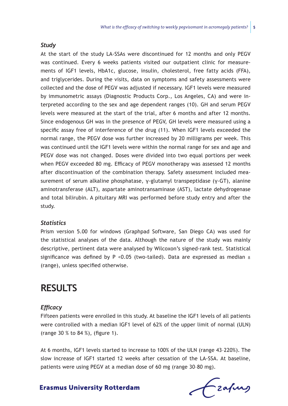#### *Study*

At the start of the study LA-SSAs were discontinued for 12 months and only PEGV was continued. Every 6 weeks patients visited our outpatient clinic for measurements of IGF1 levels, HbA1c, glucose, insulin, cholesterol, free fatty acids (FFA), and triglycerides. During the visits, data on symptoms and safety assessments were collected and the dose of PEGV was adjusted if necessary. IGF1 levels were measured by immunometric assays (Diagnostic Products Corp., Los Angeles, CA) and were interpreted according to the sex and age dependent ranges (10). GH and serum PEGV levels were measured at the start of the trial, after 6 months and after 12 months. Since endogenous GH was in the presence of PEGV, GH levels were measured using a specific assay free of interference of the drug (11). When IGF1 levels exceeded the normal range, the PEGV dose was further increased by 20 milligrams per week. This was continued until the IGF1 levels were within the normal range for sex and age and PEGV dose was not changed. Doses were divided into two equal portions per week when PEGV exceeded 80 mg. Efficacy of PEGV monotherapy was assessed 12 months after discontinuation of the combination therapy. Safety assessment included measurement of serum alkaline phosphatase, γ-glutamyl transpeptidase (γ-GT), alanine aminotransferase (ALT), aspartate aminotransaminase (AST), lactate dehydrogenase and total bilirubin. A pituitary MRI was performed before study entry and after the study.

#### *Statistics*

Prism version 5.00 for windows (Graphpad Software, San Diego CA) was used for the statistical analyses of the data. Although the nature of the study was mainly descriptive, pertinent data were analysed by Wilcoxon's signed-rank test. Statistical significance was defined by P < 0.05 (two-tailed). Data are expressed as median  $\pm$ (range), unless specified otherwise.

### **Results**

#### *Efficacy*

Fifteen patients were enrolled in this study. At baseline the IGF1 levels of all patients were controlled with a median IGF1 level of 62% of the upper limit of normal (ULN) (range 30 % to 84 %), (figure 1).

At 6 months, IGF1 levels started to increase to 100% of the ULN (range 43–220%). The slow increase of IGF1 started 12 weeks after cessation of the LA-SSA. At baseline, patients were using PEGV at a median dose of 60 mg (range 30–80 mg).

Czafurg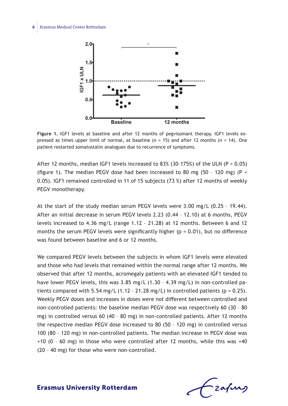

**Figure 1.** IGF1 levels at baseline and after 12 months of pegvisomant therapy. IGF1 levels expressed as times upper limit of normal, at baseline  $(n = 15)$  and after 12 months  $(n = 14)$ . One patient restarted somatostatin analogues due to recurrence of symptoms.

After 12 months, median IGF1 levels increased to 83% (30–175%) of the ULN (P < 0.05) (figure 1). The median PEGV dose had been increased to 80 mg (50 - 120 mg) (P  $\le$ 0.05). IGF1 remained controlled in 11 of 15 subjects (73 %) after 12 months of weekly PEGV monotherapy.

At the start of the study median serum PEGV levels were 3.00 mg/L (0.25 – 19.44). After an initial decrease in serum PEGV levels 2.23 (0.44 – 12.10) at 6 months, PEGV levels increased to 4.36 mg/L (range 1.12 – 21.28) at 12 months. Between 6 and 12 months the serum PEGV levels were significantly higher ( $p = 0.01$ ), but no difference was found between baseline and 6 or 12 months.

We compared PEGV levels between the subjects in whom IGF1 levels were elevated and those who had levels that remained within the normal range after 12 months. We observed that after 12 months, acromegaly patients with an elevated IGF1 tended to have lower PEGV levels, this was 3.85 mg/L (1.30 – 4.39 mg/L) in non-controlled patients compared with  $5.54 \text{ mg/L}$  (1.12 - 21.28 mg/L) in controlled patients (p = 0.25). Weekly PEGV doses and increases in doses were not different between controlled and non-controlled patients: the baseline median PEGV dose was respectively 60 (30 – 80 mg) in controlled versus 60 (40 – 80 mg) in non-controlled patients. After 12 months the respective median PEGV dose increased to 80 (50 – 120 mg) in controlled versus 100 (80 – 120 mg) in non-controlled patients. The median increase in PEGV dose was +10 (0 – 60 mg) in those who were controlled after 12 months, while this was +40 (20 – 40 mg) for those who were non-controlled.

-zafung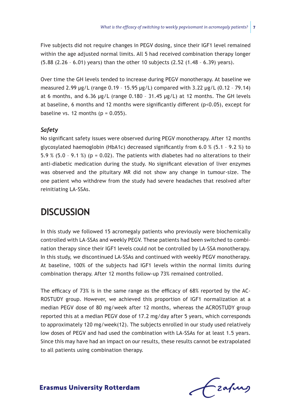Five subjects did not require changes in PEGV dosing, since their IGF1 level remained within the age adjusted normal limits. All 5 had received combination therapy longer (5.88 (2.26 – 6.01) years) than the other 10 subjects (2.52 (1.48 – 6.39) years).

Over time the GH levels tended to increase during PEGV monotherapy. At baseline we measured 2.99 μg/L (range 0.19 – 15.95 μg/L) compared with 3.22 μg/L (0.12 – 79.14) at 6 months, and 6.36  $\mu$ g/L (range 0.180 - 31.45  $\mu$ g/L) at 12 months. The GH levels at baseline, 6 months and 12 months were significantly different (p<0.05), except for baseline vs. 12 months ( $p = 0.055$ ).

### *Safety*

No significant safety issues were observed during PEGV monotherapy. After 12 months glycosylated haemoglobin (HbA1c) decreased significantly from 6.0 % (5.1 – 9.2 %) to 5.9 % (5.0 - 9.1 %) ( $p = 0.02$ ). The patients with diabetes had no alterations to their anti-diabetic medication during the study. No significant elevation of liver enzymes was observed and the pituitary MR did not show any change in tumour-size. The one patient who withdrew from the study had severe headaches that resolved after reinitiating LA-SSAs.

## **Discussion**

In this study we followed 15 acromegaly patients who previously were biochemically controlled with LA-SSAs and weekly PEGV. These patients had been switched to combination therapy since their IGF1 levels could not be controlled by LA-SSA monotherapy. In this study, we discontinued LA-SSAs and continued with weekly PEGV monotherapy. At baseline, 100% of the subjects had IGF1 levels within the normal limits during combination therapy. After 12 months follow-up 73% remained controlled.

The efficacy of 73% is in the same range as the efficacy of 68% reported by the AC-ROSTUDY group. However, we achieved this proportion of IGF1 normalization at a median PEGV dose of 80 mg/week after 12 months, whereas the ACROSTUDY group reported this at a median PEGV dose of 17.2 mg/day after 5 years, which corresponds to approximately 120 mg/week(12). The subjects enrolled in our study used relatively low doses of PEGV and had used the combination with LA-SSAs for at least 1.5 years. Since this may have had an impact on our results, these results cannot be extrapolated to all patients using combination therapy.

frafing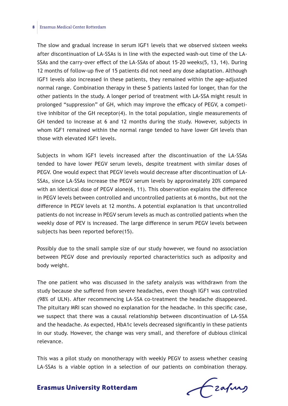#### **8** Erasmus Medical Center Rotterdam

The slow and gradual increase in serum IGF1 levels that we observed sixteen weeks after discontinuation of LA-SSAs is in line with the expected wash-out time of the LA-SSAs and the carry-over effect of the LA-SSAs of about 15-20 weeks(5, 13, 14). During 12 months of follow-up five of 15 patients did not need any dose adaptation. Although IGF1 levels also increased in these patients, they remained within the age-adjusted normal range. Combination therapy in these 5 patients lasted for longer, than for the other patients in the study. A longer period of treatment with LA-SSA might result in prolonged "suppression" of GH, which may improve the efficacy of PEGV, a competitive inhibitor of the GH receptor(4). In the total population, single measurements of GH tended to increase at 6 and 12 months during the study. However, subjects in whom IGF1 remained within the normal range tended to have lower GH levels than those with elevated IGF1 levels.

Subjects in whom IGF1 levels increased after the discontinuation of the LA-SSAs tended to have lower PEGV serum levels, despite treatment with similar doses of PEGV. One would expect that PEGV levels would decrease after discontinuation of LA-SSAs, since LA-SSAs increase the PEGV serum levels by approximately 20% compared with an identical dose of PEGV alone(6, 11). This observation explains the difference in PEGV levels between controlled and uncontrolled patients at 6 months, but not the difference in PEGV levels at 12 months. A potential explanation is that uncontrolled patients do not increase in PEGV serum levels as much as controlled patients when the weekly dose of PEV is increased. The large difference in serum PEGV levels between subjects has been reported before(15).

Possibly due to the small sample size of our study however, we found no association between PEGV dose and previously reported characteristics such as adiposity and body weight.

The one patient who was discussed in the safety analysis was withdrawn from the study because she suffered from severe headaches, even though IGF1 was controlled (98% of ULN). After recommencing LA-SSA co-treatment the headache disappeared. The pituitary MRI scan showed no explanation for the headache. In this specific case, we suspect that there was a causal relationship between discontinuation of LA-SSA and the headache. As expected, HbA1c levels decreased significantly in these patients in our study. However, the change was very small, and therefore of dubious clinical relevance.

This was a pilot study on monotherapy with weekly PEGV to assess whether ceasing LA-SSAs is a viable option in a selection of our patients on combination therapy.

frafing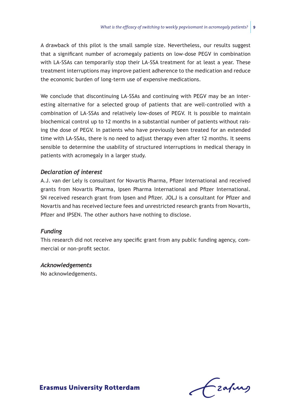A drawback of this pilot is the small sample size. Nevertheless, our results suggest that a significant number of acromegaly patients on low-dose PEGV in combination with LA-SSAs can temporarily stop their LA-SSA treatment for at least a year. These treatment interruptions may improve patient adherence to the medication and reduce the economic burden of long-term use of expensive medications.

We conclude that discontinuing LA-SSAs and continuing with PEGV may be an interesting alternative for a selected group of patients that are well-controlled with a combination of LA-SSAs and relatively low-doses of PEGV. It is possible to maintain biochemical control up to 12 months in a substantial number of patients without raising the dose of PEGV. In patients who have previously been treated for an extended time with LA-SSAs, there is no need to adjust therapy even after 12 months. It seems sensible to determine the usability of structured interruptions in medical therapy in patients with acromegaly in a larger study.

#### *Declaration of interest*

A.J. van der Lely is consultant for Novartis Pharma, Pfizer International and received grants from Novartis Pharma, Ipsen Pharma International and Pfizer International. SN received research grant from Ipsen and Pfizer. JOLJ is a consultant for Pfizer and Novartis and has received lecture fees and unrestricted research grants from Novartis, Pfizer and IPSEN. The other authors have nothing to disclose.

### *Funding*

This research did not receive any specific grant from any public funding agency, commercial or non-profit sector.

#### *Acknowledgements*

No acknowledgements.

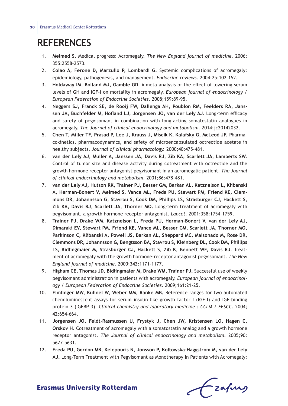# **References**

- 1. **Melmed S.** Medical progress: Acromegaly. *The New England journal of medicine.* 2006; 355:2558-2573.
- 2. **Colao A, Ferone D, Marzullo P, Lombardi G.** Systemic complications of acromegaly: epidemiology, pathogenesis, and management. *Endocrine reviews.* 2004;25:102‑152.
- 3. **Holdaway IM, Bolland MJ, Gamble GD.** A meta-analysis of the effect of lowering serum levels of GH and IGF-I on mortality in acromegaly. *European journal of endocrinology / European Federation of Endocrine Societies.* 2008;159:89‑95.
- 4. **Neggers SJ, Franck SE, de Rooij FW, Dallenga AH, Poublon RM, Feelders RA, Janssen JA, Buchfelder M, Hofland LJ, Jorgensen JO, van der Lely AJ.** Long-term efficacy and safety of pegvisomant in combination with long-acting somatostatin analogues in acromegaly. *The Journal of clinical endocrinology and metabolism.* 2014:jc20142032.
- 5. **Chen T, Miller TF, Prasad P, Lee J, Krauss J, Miscik K, Kalafsky G, McLeod JF.** Pharmacokinetics, pharmacodynamics, and safety of microencapsulated octreotide acetate in healthy subjects. *Journal of clinical pharmacology.* 2000;40:475‑481.
- 6. **van der Lely AJ, Muller A, Janssen JA, Davis RJ, Zib KA, Scarlett JA, Lamberts SW.** Control of tumor size and disease activity during cotreatment with octreotide and the growth hormone receptor antagonist pegvisomant in an acromegalic patient. *The Journal of clinical endocrinology and metabolism.* 2001;86:478‑481.
- 7. **van der Lely AJ, Hutson RK, Trainer PJ, Besser GM, Barkan AL, Katznelson L, Klibanski A, Herman-Bonert V, Melmed S, Vance ML, Freda PU, Stewart PM, Friend KE, Clemmons DR, Johannsson G, Stavrou S, Cook DM, Phillips LS, Strasburger CJ, Hackett S, Zib KA, Davis RJ, Scarlett JA, Thorner MO.** Long-term treatment of acromegaly with pegvisomant, a growth hormone receptor antagonist. *Lancet.* 2001;358:1754-1759.
- 8. **Trainer PJ, Drake WM, Katznelson L, Freda PU, Herman-Bonert V, van der Lely AJ, Dimaraki EV, Stewart PM, Friend KE, Vance ML, Besser GM, Scarlett JA, Thorner MO, Parkinson C, Klibanski A, Powell JS, Barkan AL, Sheppard MC, Malsonado M, Rose DR, Clemmons DR, Johannsson G, Bengtsson BA, Stavrou S, Kleinberg DL, Cook DM, Phillips LS, Bidlingmaier M, Strasburger CJ, Hackett S, Zib K, Bennett WF, Davis RJ.** Treatment of acromegaly with the growth hormone-receptor antagonist pegvisomant. *The New England journal of medicine.* 2000;342:1171-1177.
- 9. **Higham CE, Thomas JD, Bidlingmaier M, Drake WM, Trainer PJ.** Successful use of weekly pegvisomant administration in patients with acromegaly. *European journal of endocrinology / European Federation of Endocrine Societies.* 2009;161:21‑25.
- 10. **Elmlinger MW, Kuhnel W, Weber MM, Ranke MB.** Reference ranges for two automated chemiluminescent assays for serum insulin-like growth factor I (IGF-I) and IGF-binding protein 3 (IGFBP-3). *Clinical chemistry and laboratory medicine : CCLM / FESCC.* 2004; 42:654‑664.
- 11. **Jorgensen JO, Feldt-Rasmussen U, Frystyk J, Chen JW, Kristensen LO, Hagen C, Orskov H.** Cotreatment of acromegaly with a somatostatin analog and a growth hormone receptor antagonist. *The Journal of clinical endocrinology and metabolism.* 2005;90: 5627-5631.
- 12. **Freda PU, Gordon MB, Kelepouris N, Jonsson P, Koltowska-Haggstrom M, van der Lely AJ.** Long-Term Treatment with Pegvisomant as Monotherapy in Patients with Acromegaly:

Frafing